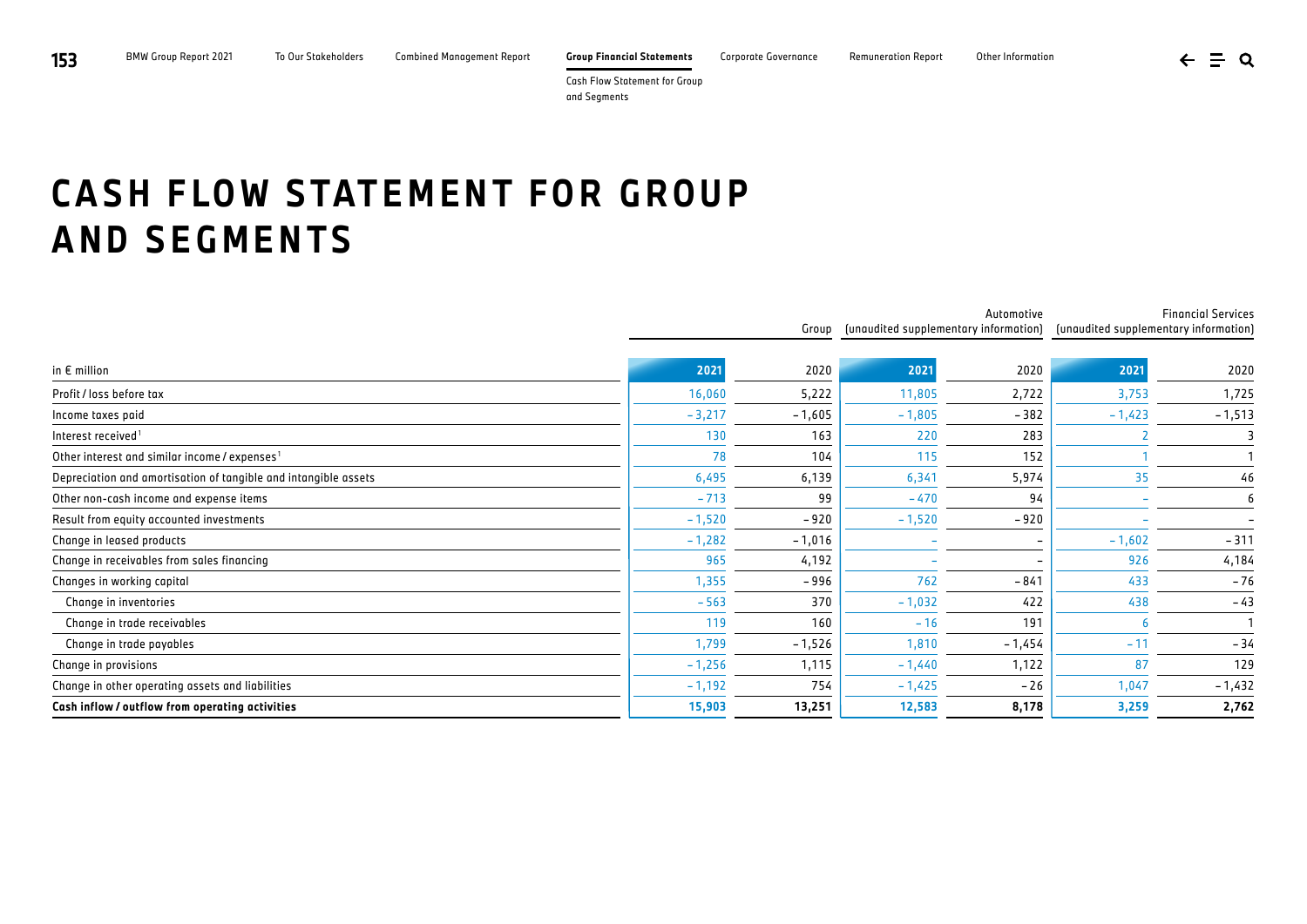**153** BMW Group Report 2021 To Our Stakeholders Combined Management Report **Group Financial Statements** Corporate Governance Remuneration Report Other Information

 $\leftarrow \equiv \alpha$ 

Cash Flow Statement for Group and Segments

## **CASH FLOW STATEMENT FOR GROUP AND SEGMENTS**

|                                                                 | Group    |          | Automotive<br>(unaudited supplementary information) |          | <b>Financial Services</b><br>(unaudited supplementary information) |          |
|-----------------------------------------------------------------|----------|----------|-----------------------------------------------------|----------|--------------------------------------------------------------------|----------|
|                                                                 |          |          |                                                     |          |                                                                    |          |
| in $E$ million                                                  | 2021     | 2020     | 2021                                                | 2020     | 2021                                                               | 2020     |
| Profit / loss before tax                                        | 16,060   | 5,222    | 11,805                                              | 2,722    | 3,753                                                              | 1,725    |
| Income taxes paid                                               | $-3,217$ | $-1,605$ | $-1,805$                                            | $-382$   | $-1,423$                                                           | $-1,513$ |
| Interest received <sup>1</sup>                                  | 130      | 163      | 220                                                 | 283      |                                                                    |          |
| Other interest and similar income / expenses <sup>1</sup>       | 78       | 104      | 115                                                 | 152      |                                                                    |          |
| Depreciation and amortisation of tangible and intangible assets | 6,495    | 6,139    | 6,341                                               | 5,974    | 35                                                                 | 46       |
| Other non-cash income and expense items                         | $-713$   | 99       | $-470$                                              | 94       |                                                                    | 6        |
| Result from equity accounted investments                        | $-1,520$ | $-920$   | $-1,520$                                            | $-920$   |                                                                    |          |
| Change in leased products                                       | $-1,282$ | $-1,016$ |                                                     |          | $-1,602$                                                           | $-311$   |
| Change in receivables from sales financing                      | 965      | 4,192    |                                                     |          | 926                                                                | 4,184    |
| Changes in working capital                                      | 1,355    | $-996$   | 762                                                 | $-841$   | 433                                                                | $-76$    |
| Change in inventories                                           | $-563$   | 370      | $-1,032$                                            | 422      | 438                                                                | $-43$    |
| Change in trade receivables                                     | 119      | 160      | $-16$                                               | 191      |                                                                    |          |
| Change in trade payables                                        | 1,799    | $-1,526$ | 1,810                                               | $-1,454$ | $-11$                                                              | - 34     |
| Change in provisions                                            | $-1,256$ | 1,115    | $-1,440$                                            | 1,122    | 87                                                                 | 129      |
| Change in other operating assets and liabilities                | $-1,192$ | 754      | $-1,425$                                            | $-26$    | 1,047                                                              | $-1,432$ |
| Cash inflow / outflow from operating activities                 | 15,903   | 13,251   | 12,583                                              | 8,178    | 3,259                                                              | 2,762    |